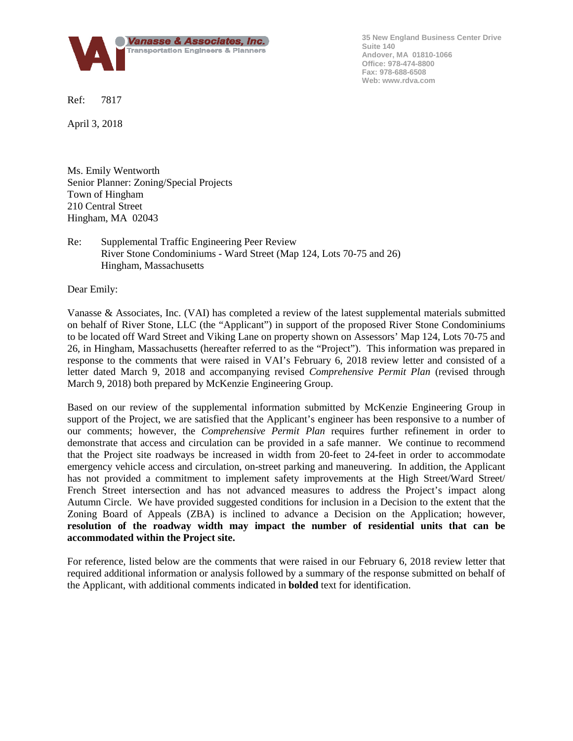

**35 New England Business Center Drive Suite 140 Andover, MA 01810-1066 Office: 978-474-8800 Fax: 978-688-6508 Web: www.rdva.com**

Ref: 7817

April 3, 2018

Ms. Emily Wentworth Senior Planner: Zoning/Special Projects Town of Hingham 210 Central Street Hingham, MA 02043

## Re: Supplemental Traffic Engineering Peer Review River Stone Condominiums - Ward Street (Map 124, Lots 70-75 and 26) Hingham, Massachusetts

Dear Emily:

Vanasse & Associates, Inc. (VAI) has completed a review of the latest supplemental materials submitted on behalf of River Stone, LLC (the "Applicant") in support of the proposed River Stone Condominiums to be located off Ward Street and Viking Lane on property shown on Assessors' Map 124, Lots 70-75 and 26, in Hingham, Massachusetts (hereafter referred to as the "Project"). This information was prepared in response to the comments that were raised in VAI's February 6, 2018 review letter and consisted of a letter dated March 9, 2018 and accompanying revised *Comprehensive Permit Plan* (revised through March 9, 2018) both prepared by McKenzie Engineering Group.

Based on our review of the supplemental information submitted by McKenzie Engineering Group in support of the Project, we are satisfied that the Applicant's engineer has been responsive to a number of our comments; however, the *Comprehensive Permit Plan* requires further refinement in order to demonstrate that access and circulation can be provided in a safe manner. We continue to recommend that the Project site roadways be increased in width from 20-feet to 24-feet in order to accommodate emergency vehicle access and circulation, on-street parking and maneuvering. In addition, the Applicant has not provided a commitment to implement safety improvements at the High Street/Ward Street/ French Street intersection and has not advanced measures to address the Project's impact along Autumn Circle. We have provided suggested conditions for inclusion in a Decision to the extent that the Zoning Board of Appeals (ZBA) is inclined to advance a Decision on the Application; however, **resolution of the roadway width may impact the number of residential units that can be accommodated within the Project site.**

For reference, listed below are the comments that were raised in our February 6, 2018 review letter that required additional information or analysis followed by a summary of the response submitted on behalf of the Applicant, with additional comments indicated in **bolded** text for identification.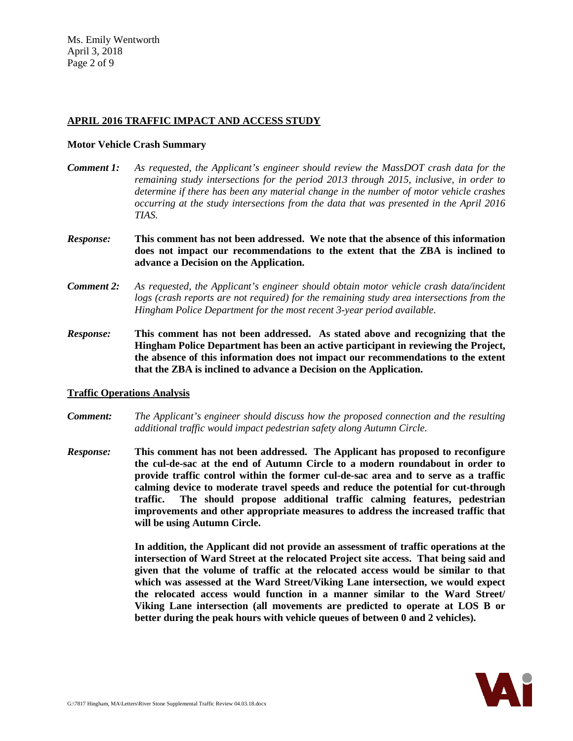## **APRIL 2016 TRAFFIC IMPACT AND ACCESS STUDY**

#### **Motor Vehicle Crash Summary**

- *Comment 1: As requested, the Applicant's engineer should review the MassDOT crash data for the remaining study intersections for the period 2013 through 2015, inclusive, in order to determine if there has been any material change in the number of motor vehicle crashes occurring at the study intersections from the data that was presented in the April 2016 TIAS.*
- *Response:* **This comment has not been addressed. We note that the absence of this information does not impact our recommendations to the extent that the ZBA is inclined to advance a Decision on the Application.**
- *Comment 2: As requested, the Applicant's engineer should obtain motor vehicle crash data/incident logs (crash reports are not required) for the remaining study area intersections from the Hingham Police Department for the most recent 3-year period available.*
- *Response:* **This comment has not been addressed. As stated above and recognizing that the Hingham Police Department has been an active participant in reviewing the Project, the absence of this information does not impact our recommendations to the extent that the ZBA is inclined to advance a Decision on the Application.**

### **Traffic Operations Analysis**

- *Comment: The Applicant's engineer should discuss how the proposed connection and the resulting additional traffic would impact pedestrian safety along Autumn Circle.*
- *Response:* **This comment has not been addressed. The Applicant has proposed to reconfigure the cul-de-sac at the end of Autumn Circle to a modern roundabout in order to provide traffic control within the former cul-de-sac area and to serve as a traffic calming device to moderate travel speeds and reduce the potential for cut-through traffic. The should propose additional traffic calming features, pedestrian improvements and other appropriate measures to address the increased traffic that will be using Autumn Circle.**

**In addition, the Applicant did not provide an assessment of traffic operations at the intersection of Ward Street at the relocated Project site access. That being said and given that the volume of traffic at the relocated access would be similar to that which was assessed at the Ward Street/Viking Lane intersection, we would expect the relocated access would function in a manner similar to the Ward Street/ Viking Lane intersection (all movements are predicted to operate at LOS B or better during the peak hours with vehicle queues of between 0 and 2 vehicles).**

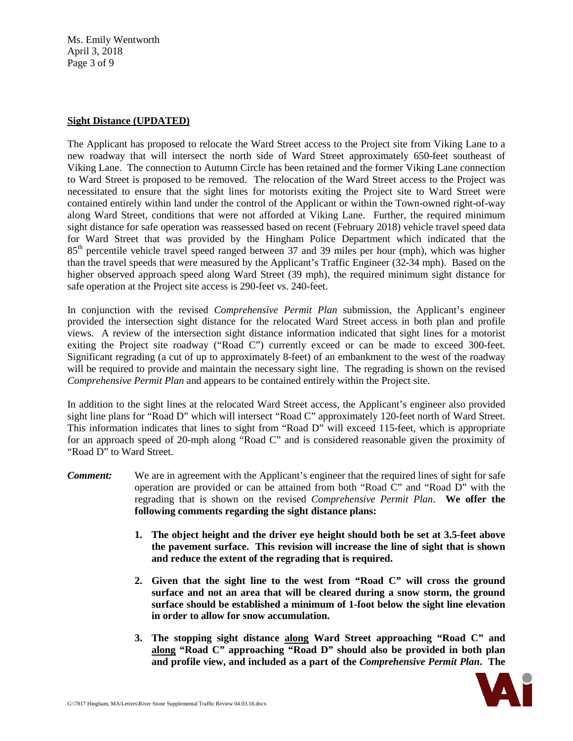Ms. Emily Wentworth April 3, 2018 Page 3 of 9

## **Sight Distance (UPDATED)**

The Applicant has proposed to relocate the Ward Street access to the Project site from Viking Lane to a new roadway that will intersect the north side of Ward Street approximately 650-feet southeast of Viking Lane. The connection to Autumn Circle has been retained and the former Viking Lane connection to Ward Street is proposed to be removed. The relocation of the Ward Street access to the Project was necessitated to ensure that the sight lines for motorists exiting the Project site to Ward Street were contained entirely within land under the control of the Applicant or within the Town-owned right-of-way along Ward Street, conditions that were not afforded at Viking Lane. Further, the required minimum sight distance for safe operation was reassessed based on recent (February 2018) vehicle travel speed data for Ward Street that was provided by the Hingham Police Department which indicated that the 85<sup>th</sup> percentile vehicle travel speed ranged between 37 and 39 miles per hour (mph), which was higher than the travel speeds that were measured by the Applicant's Traffic Engineer (32-34 mph). Based on the higher observed approach speed along Ward Street (39 mph), the required minimum sight distance for safe operation at the Project site access is 290-feet vs. 240-feet.

In conjunction with the revised *Comprehensive Permit Plan* submission, the Applicant's engineer provided the intersection sight distance for the relocated Ward Street access in both plan and profile views. A review of the intersection sight distance information indicated that sight lines for a motorist exiting the Project site roadway ("Road C") currently exceed or can be made to exceed 300-feet. Significant regrading (a cut of up to approximately 8-feet) of an embankment to the west of the roadway will be required to provide and maintain the necessary sight line. The regrading is shown on the revised *Comprehensive Permit Plan* and appears to be contained entirely within the Project site.

In addition to the sight lines at the relocated Ward Street access, the Applicant's engineer also provided sight line plans for "Road D" which will intersect "Road C" approximately 120-feet north of Ward Street. This information indicates that lines to sight from "Road D" will exceed 115-feet, which is appropriate for an approach speed of 20-mph along "Road C" and is considered reasonable given the proximity of "Road D" to Ward Street.

- *Comment:* We are in agreement with the Applicant's engineer that the required lines of sight for safe operation are provided or can be attained from both "Road C" and "Road D" with the regrading that is shown on the revised *Comprehensive Permit Plan*. **We offer the following comments regarding the sight distance plans:**
	- **1. The object height and the driver eye height should both be set at 3.5-feet above the pavement surface. This revision will increase the line of sight that is shown and reduce the extent of the regrading that is required.**
	- **2. Given that the sight line to the west from "Road C" will cross the ground surface and not an area that will be cleared during a snow storm, the ground surface should be established a minimum of 1-foot below the sight line elevation in order to allow for snow accumulation.**
	- **3. The stopping sight distance along Ward Street approaching "Road C" and along "Road C" approaching "Road D" should also be provided in both plan and profile view, and included as a part of the** *Comprehensive Permit Plan***. The**

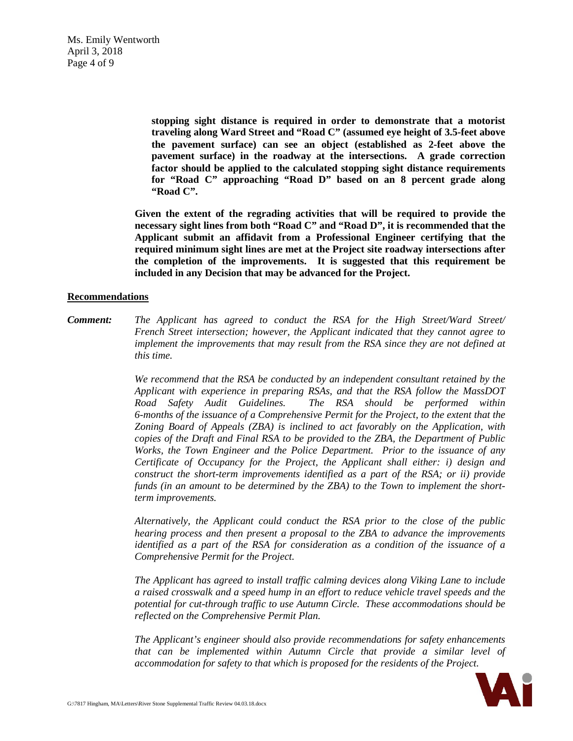Ms. Emily Wentworth April 3, 2018 Page 4 of 9

> **stopping sight distance is required in order to demonstrate that a motorist traveling along Ward Street and "Road C" (assumed eye height of 3.5-feet above the pavement surface) can see an object (established as 2-feet above the pavement surface) in the roadway at the intersections. A grade correction factor should be applied to the calculated stopping sight distance requirements for "Road C" approaching "Road D" based on an 8 percent grade along "Road C".**

**Given the extent of the regrading activities that will be required to provide the necessary sight lines from both "Road C" and "Road D", it is recommended that the Applicant submit an affidavit from a Professional Engineer certifying that the required minimum sight lines are met at the Project site roadway intersections after the completion of the improvements. It is suggested that this requirement be included in any Decision that may be advanced for the Project.**

### **Recommendations**

*Comment: The Applicant has agreed to conduct the RSA for the High Street/Ward Street/ French Street intersection; however, the Applicant indicated that they cannot agree to implement the improvements that may result from the RSA since they are not defined at this time.*

> *We recommend that the RSA be conducted by an independent consultant retained by the Applicant with experience in preparing RSAs, and that the RSA follow the MassDOT Road Safety Audit Guidelines. The RSA should be performed within 6-months of the issuance of a Comprehensive Permit for the Project, to the extent that the Zoning Board of Appeals (ZBA) is inclined to act favorably on the Application, with copies of the Draft and Final RSA to be provided to the ZBA, the Department of Public Works, the Town Engineer and the Police Department. Prior to the issuance of any Certificate of Occupancy for the Project, the Applicant shall either: i) design and construct the short-term improvements identified as a part of the RSA; or ii) provide funds (in an amount to be determined by the ZBA) to the Town to implement the shortterm improvements.*

> *Alternatively, the Applicant could conduct the RSA prior to the close of the public hearing process and then present a proposal to the ZBA to advance the improvements identified as a part of the RSA for consideration as a condition of the issuance of a Comprehensive Permit for the Project.*

> *The Applicant has agreed to install traffic calming devices along Viking Lane to include a raised crosswalk and a speed hump in an effort to reduce vehicle travel speeds and the potential for cut-through traffic to use Autumn Circle. These accommodations should be reflected on the Comprehensive Permit Plan.*

> *The Applicant's engineer should also provide recommendations for safety enhancements that can be implemented within Autumn Circle that provide a similar level of accommodation for safety to that which is proposed for the residents of the Project.*

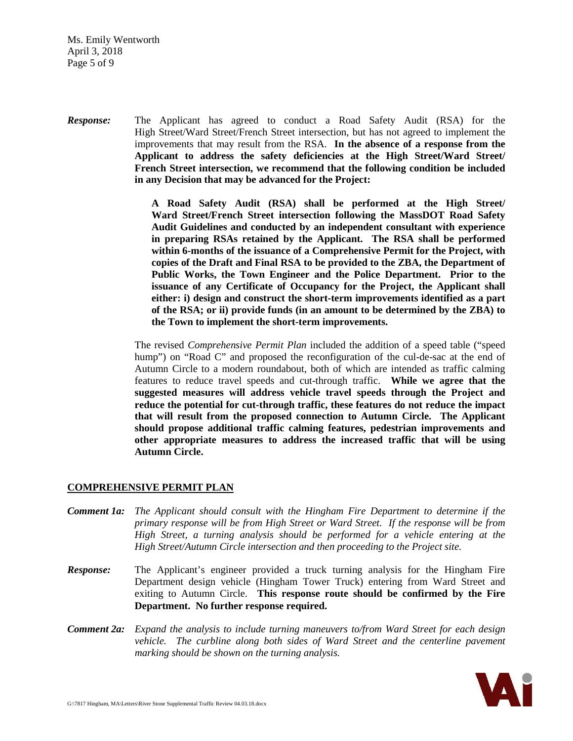Ms. Emily Wentworth April 3, 2018 Page 5 of 9

*Response:* The Applicant has agreed to conduct a Road Safety Audit (RSA) for the High Street/Ward Street/French Street intersection, but has not agreed to implement the improvements that may result from the RSA. **In the absence of a response from the Applicant to address the safety deficiencies at the High Street/Ward Street/ French Street intersection, we recommend that the following condition be included in any Decision that may be advanced for the Project:**

> **A Road Safety Audit (RSA) shall be performed at the High Street/ Ward Street/French Street intersection following the MassDOT Road Safety Audit Guidelines and conducted by an independent consultant with experience in preparing RSAs retained by the Applicant. The RSA shall be performed within 6-months of the issuance of a Comprehensive Permit for the Project, with copies of the Draft and Final RSA to be provided to the ZBA, the Department of Public Works, the Town Engineer and the Police Department. Prior to the issuance of any Certificate of Occupancy for the Project, the Applicant shall either: i) design and construct the short-term improvements identified as a part of the RSA; or ii) provide funds (in an amount to be determined by the ZBA) to the Town to implement the short-term improvements.**

The revised *Comprehensive Permit Plan* included the addition of a speed table ("speed hump") on "Road C" and proposed the reconfiguration of the cul-de-sac at the end of Autumn Circle to a modern roundabout, both of which are intended as traffic calming features to reduce travel speeds and cut-through traffic. **While we agree that the suggested measures will address vehicle travel speeds through the Project and reduce the potential for cut-through traffic, these features do not reduce the impact that will result from the proposed connection to Autumn Circle. The Applicant should propose additional traffic calming features, pedestrian improvements and other appropriate measures to address the increased traffic that will be using Autumn Circle.**

### **COMPREHENSIVE PERMIT PLAN**

- *Comment 1a: The Applicant should consult with the Hingham Fire Department to determine if the primary response will be from High Street or Ward Street. If the response will be from High Street, a turning analysis should be performed for a vehicle entering at the High Street/Autumn Circle intersection and then proceeding to the Project site.*
- *Response:* The Applicant's engineer provided a truck turning analysis for the Hingham Fire Department design vehicle (Hingham Tower Truck) entering from Ward Street and exiting to Autumn Circle. **This response route should be confirmed by the Fire Department. No further response required.**
- *Comment 2a: Expand the analysis to include turning maneuvers to/from Ward Street for each design vehicle. The curbline along both sides of Ward Street and the centerline pavement marking should be shown on the turning analysis.*

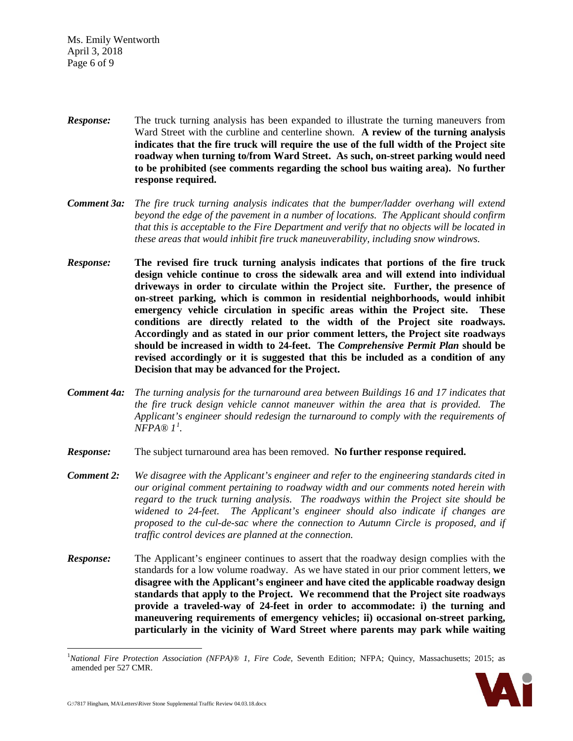Ms. Emily Wentworth April 3, 2018 Page 6 of 9

- *Response:* The truck turning analysis has been expanded to illustrate the turning maneuvers from Ward Street with the curbline and centerline shown. **A review of the turning analysis indicates that the fire truck will require the use of the full width of the Project site roadway when turning to/from Ward Street. As such, on-street parking would need to be prohibited (see comments regarding the school bus waiting area). No further response required.**
- *Comment 3a: The fire truck turning analysis indicates that the bumper/ladder overhang will extend beyond the edge of the pavement in a number of locations. The Applicant should confirm that this is acceptable to the Fire Department and verify that no objects will be located in these areas that would inhibit fire truck maneuverability, including snow windrows.*
- *Response:* **The revised fire truck turning analysis indicates that portions of the fire truck design vehicle continue to cross the sidewalk area and will extend into individual driveways in order to circulate within the Project site. Further, the presence of on-street parking, which is common in residential neighborhoods, would inhibit emergency vehicle circulation in specific areas within the Project site. These conditions are directly related to the width of the Project site roadways. Accordingly and as stated in our prior comment letters, the Project site roadways should be increased in width to 24-feet. The** *Comprehensive Permit Plan* **should be revised accordingly or it is suggested that this be included as a condition of any Decision that may be advanced for the Project.**
- *Comment 4a: The turning analysis for the turnaround area between Buildings 16 and 17 indicates that the fire truck design vehicle cannot maneuver within the area that is provided. The Applicant's engineer should redesign the turnaround to comply with the requirements of NFPA® 1[1](#page-5-0) .*
- *Response:* The subject turnaround area has been removed. **No further response required.**
- *Comment 2: We disagree with the Applicant's engineer and refer to the engineering standards cited in our original comment pertaining to roadway width and our comments noted herein with regard to the truck turning analysis. The roadways within the Project site should be widened to 24-feet. The Applicant's engineer should also indicate if changes are proposed to the cul-de-sac where the connection to Autumn Circle is proposed, and if traffic control devices are planned at the connection.*
- *Response:* The Applicant's engineer continues to assert that the roadway design complies with the standards for a low volume roadway. As we have stated in our prior comment letters, **we disagree with the Applicant's engineer and have cited the applicable roadway design standards that apply to the Project. We recommend that the Project site roadways provide a traveled-way of 24-feet in order to accommodate: i) the turning and maneuvering requirements of emergency vehicles; ii) occasional on-street parking, particularly in the vicinity of Ward Street where parents may park while waiting**

<span id="page-5-0"></span><sup>|&</sup>lt;br>|<br>| *National Fire Protection Association (NFPA)® 1, Fire Code*, Seventh Edition; NFPA; Quincy, Massachusetts; 2015; as amended per 527 CMR.

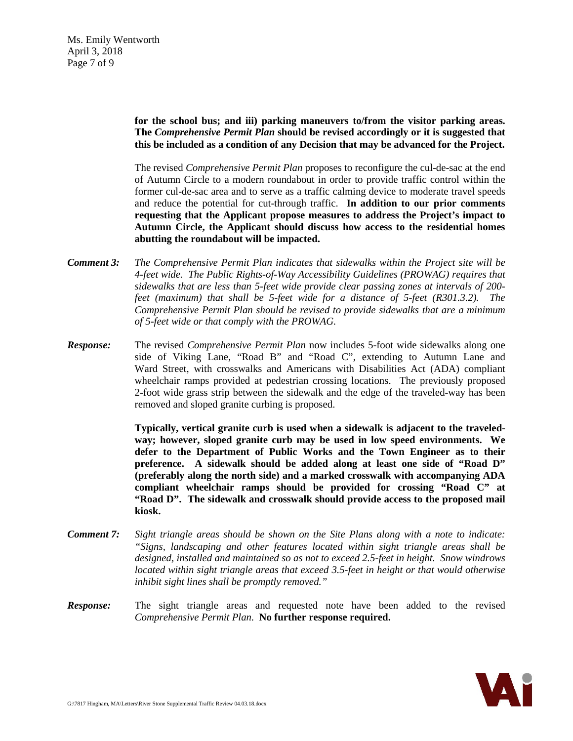Ms. Emily Wentworth April 3, 2018 Page 7 of 9

> **for the school bus; and iii) parking maneuvers to/from the visitor parking areas. The** *Comprehensive Permit Plan* **should be revised accordingly or it is suggested that this be included as a condition of any Decision that may be advanced for the Project.**

> The revised *Comprehensive Permit Plan* proposes to reconfigure the cul-de-sac at the end of Autumn Circle to a modern roundabout in order to provide traffic control within the former cul-de-sac area and to serve as a traffic calming device to moderate travel speeds and reduce the potential for cut-through traffic. **In addition to our prior comments requesting that the Applicant propose measures to address the Project's impact to Autumn Circle, the Applicant should discuss how access to the residential homes abutting the roundabout will be impacted.**

- *Comment 3: The Comprehensive Permit Plan indicates that sidewalks within the Project site will be 4-feet wide. The Public Rights-of-Way Accessibility Guidelines (PROWAG) requires that sidewalks that are less than 5-feet wide provide clear passing zones at intervals of 200 feet (maximum) that shall be 5-feet wide for a distance of 5-feet (R301.3.2). The Comprehensive Permit Plan should be revised to provide sidewalks that are a minimum of 5-feet wide or that comply with the PROWAG.*
- *Response:* The revised *Comprehensive Permit Plan* now includes 5-foot wide sidewalks along one side of Viking Lane, "Road B" and "Road C", extending to Autumn Lane and Ward Street, with crosswalks and Americans with Disabilities Act (ADA) compliant wheelchair ramps provided at pedestrian crossing locations. The previously proposed 2-foot wide grass strip between the sidewalk and the edge of the traveled-way has been removed and sloped granite curbing is proposed.

**Typically, vertical granite curb is used when a sidewalk is adjacent to the traveledway; however, sloped granite curb may be used in low speed environments. We defer to the Department of Public Works and the Town Engineer as to their preference. A sidewalk should be added along at least one side of "Road D" (preferably along the north side) and a marked crosswalk with accompanying ADA compliant wheelchair ramps should be provided for crossing "Road C" at "Road D". The sidewalk and crosswalk should provide access to the proposed mail kiosk.**

- *Comment 7: Sight triangle areas should be shown on the Site Plans along with a note to indicate: "Signs, landscaping and other features located within sight triangle areas shall be designed, installed and maintained so as not to exceed 2.5-feet in height. Snow windrows located within sight triangle areas that exceed 3.5-feet in height or that would otherwise inhibit sight lines shall be promptly removed."*
- **Response:** The sight triangle areas and requested note have been added to the revised *Comprehensive Permit Plan*. **No further response required.**

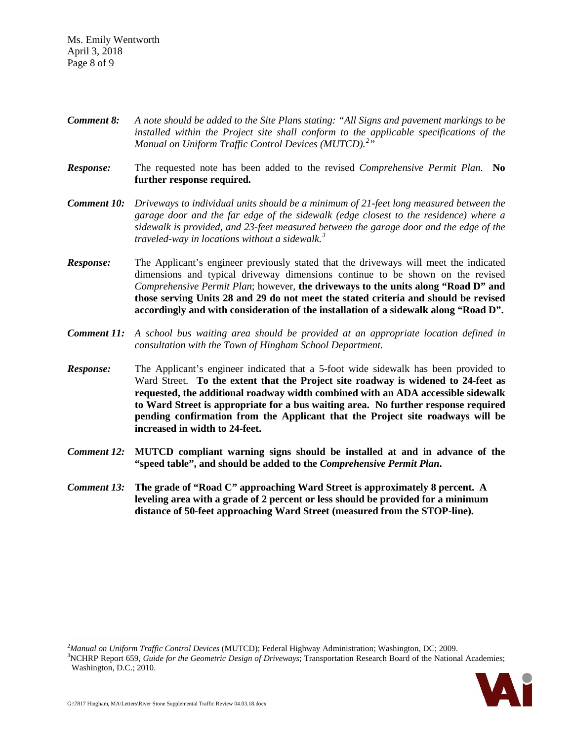Ms. Emily Wentworth April 3, 2018 Page 8 of 9

- *Comment 8: A note should be added to the Site Plans stating: "All Signs and pavement markings to be installed within the Project site shall conform to the applicable specifications of the Manual on Uniform Traffic Control Devices (MUTCD).[2](#page-7-0) "*
- *Response:* The requested note has been added to the revised *Comprehensive Permit Plan*. **No further response required.**
- *Comment 10: Driveways to individual units should be a minimum of 21-feet long measured between the garage door and the far edge of the sidewalk (edge closest to the residence) where a sidewalk is provided, and 23-feet measured between the garage door and the edge of the traveled-way in locations without a sidewalk.[3](#page-7-1)*
- *Response:* The Applicant's engineer previously stated that the driveways will meet the indicated dimensions and typical driveway dimensions continue to be shown on the revised *Comprehensive Permit Plan*; however, **the driveways to the units along "Road D" and those serving Units 28 and 29 do not meet the stated criteria and should be revised accordingly and with consideration of the installation of a sidewalk along "Road D".**
- *Comment 11: A school bus waiting area should be provided at an appropriate location defined in consultation with the Town of Hingham School Department.*
- *Response:* The Applicant's engineer indicated that a 5-foot wide sidewalk has been provided to Ward Street. **To the extent that the Project site roadway is widened to 24-feet as requested, the additional roadway width combined with an ADA accessible sidewalk to Ward Street is appropriate for a bus waiting area. No further response required pending confirmation from the Applicant that the Project site roadways will be increased in width to 24-feet.**
- *Comment 12:* MUTCD compliant warning signs should be installed at and in advance of the **"speed table", and should be added to the** *Comprehensive Permit Plan***.**
- *Comment 13:* **The grade of "Road C" approaching Ward Street is approximately 8 percent. A leveling area with a grade of 2 percent or less should be provided for a minimum distance of 50-feet approaching Ward Street (measured from the STOP-line).**

<span id="page-7-1"></span><sup>&</sup>lt;sup>3</sup>NCHRP Report 659, *Guide for the Geometric Design of Driveways*; Transportation Research Board of the National Academies; Washington, D.C.; 2010.



<span id="page-7-0"></span> $\frac{1}{2}$ <sup>2</sup>Manual on Uniform Traffic Control Devices (MUTCD); Federal Highway Administration; Washington, DC; 2009.